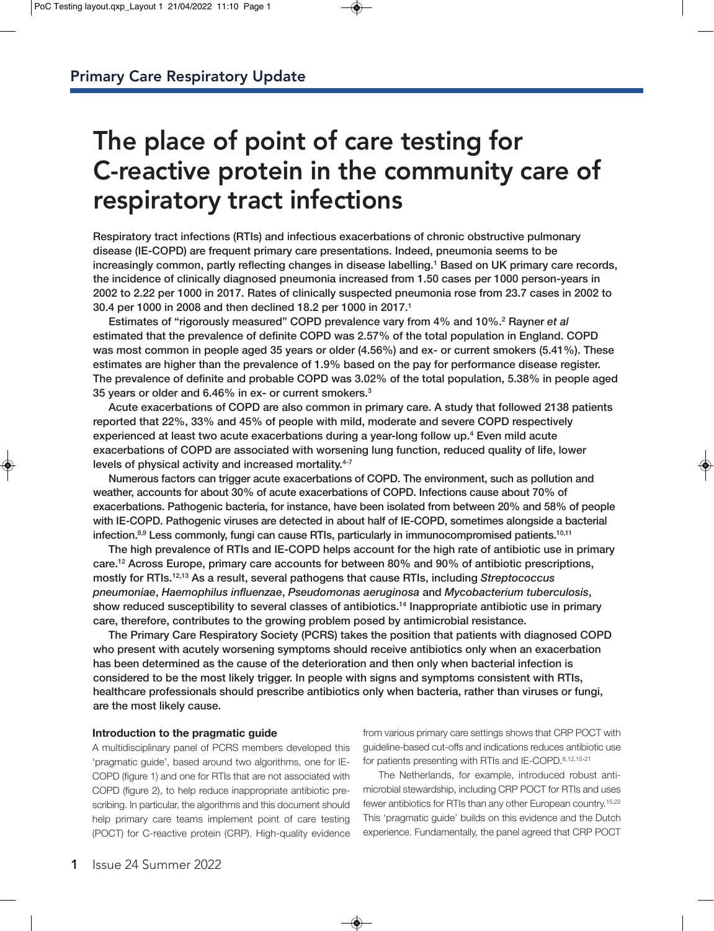# The place of point of care testing for C-reactive protein in the community care of respiratory tract infections

**Respiratory tract infections (RTIs) and infectious exacerbations of chronic obstructive pulmonary disease (IE-COPD) are frequent primary care presentations. Indeed, pneumonia seems to be increasingly common, partly reflecting changes in disease labelling.1 Based on UK primary care records, the incidence of clinically diagnosed pneumonia increased from 1.50 cases per 1000 person-years in 2002 to 2.22 per 1000 in 2017. Rates of clinically suspected pneumonia rose from 23.7 cases in 2002 to 30.4 per 1000 in 2008 and then declined 18.2 per 1000 in 2017.1**

**Estimates of "rigorously measured" COPD prevalence vary from 4% and 10%.2 Rayner** *et al* **estimated that the prevalence of definite COPD was 2.57% of the total population in England. COPD was most common in people aged 35 years or older (4.56%) and ex- or current smokers (5.41%). These estimates are higher than the prevalence of 1.9% based on the pay for performance disease register. The prevalence of definite and probable COPD was 3.02% of the total population, 5.38% in people aged 35 years or older and 6.46% in ex- or current smokers.3**

**Acute exacerbations of COPD are also common in primary care. A study that followed 2138 patients reported that 22%, 33% and 45% of people with mild, moderate and severe COPD respectively experienced at least two acute exacerbations during a year-long follow up.4 Even mild acute exacerbations of COPD are associated with worsening lung function, reduced quality of life, lower levels of physical activity and increased mortality.4-7** 

**Numerous factors can trigger acute exacerbations of COPD. The environment, such as pollution and weather, accounts for about 30% of acute exacerbations of COPD. Infections cause about 70% of exacerbations. Pathogenic bacteria, for instance, have been isolated from between 20% and 58% of people with IE-COPD. Pathogenic viruses are detected in about half of IE-COPD, sometimes alongside a bacterial infection.8,9 Less commonly, fungi can cause RTIs, particularly in immunocompromised patients.10,11**

**The high prevalence of RTIs and IE-COPD helps account for the high rate of antibiotic use in primary care.12 Across Europe, primary care accounts for between 80% and 90% of antibiotic prescriptions, mostly for RTIs.12,13 As a result, several pathogens that cause RTIs, including** *Streptococcus pneumoniae***,** *Haemophilus influenzae***,** *Pseudomonas aeruginosa* **and** *Mycobacterium tuberculosis***, show reduced susceptibility to several classes of antibiotics.14 Inappropriate antibiotic use in primary care, therefore, contributes to the growing problem posed by antimicrobial resistance.** 

**The Primary Care Respiratory Society (PCRS) takes the position that patients with diagnosed COPD who present with acutely worsening symptoms should receive antibiotics only when an exacerbation has been determined as the cause of the deterioration and then only when bacterial infection is considered to be the most likely trigger. In people with signs and symptoms consistent with RTIs, healthcare professionals should prescribe antibiotics only when bacteria, rather than viruses or fungi, are the most likely cause.**

# **Introduction to the pragmatic guide**

A multidisciplinary panel of PCRS members developed this 'pragmatic guide', based around two algorithms, one for IE-COPD (figure 1) and one for RTIs that are not associated with COPD (figure 2), to help reduce inappropriate antibiotic prescribing. In particular, the algorithms and this document should help primary care teams implement point of care testing (POCT) for C-reactive protein (CRP). High-quality evidence

from various primary care settings shows that CRP POCT with guideline-based cut-offs and indications reduces antibiotic use for patients presenting with RTIs and IE-COPD.8,12,15-21

The Netherlands, for example, introduced robust antimicrobial stewardship, including CRP POCT for RTIs and uses fewer antibiotics for RTIs than any other European country.<sup>15,22</sup> This 'pragmatic guide' builds on this evidence and the Dutch experience. Fundamentally, the panel agreed that CRP POCT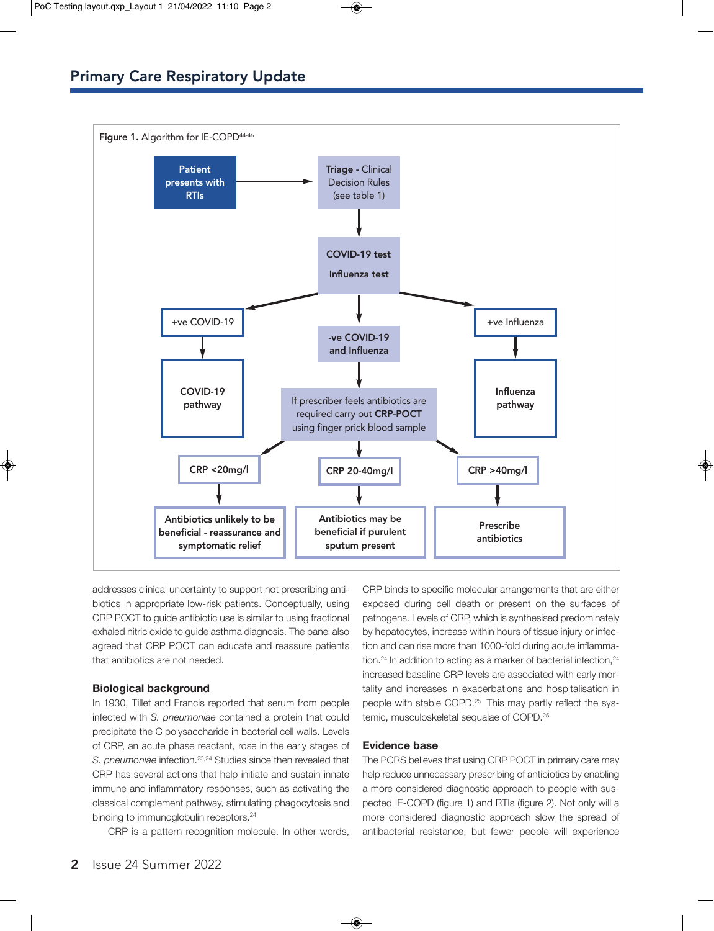

addresses clinical uncertainty to support not prescribing antibiotics in appropriate low-risk patients. Conceptually, using CRP POCT to guide antibiotic use is similar to using fractional exhaled nitric oxide to guide asthma diagnosis. The panel also agreed that CRP POCT can educate and reassure patients that antibiotics are not needed.

# **Biological background**

In 1930, Tillet and Francis reported that serum from people infected with *S. pneumoniae* contained a protein that could precipitate the C polysaccharide in bacterial cell walls. Levels of CRP, an acute phase reactant, rose in the early stages of *S. pneumoniae* infection.23,24 Studies since then revealed that CRP has several actions that help initiate and sustain innate immune and inflammatory responses, such as activating the classical complement pathway, stimulating phagocytosis and binding to immunoglobulin receptors.<sup>24</sup>

CRP is a pattern recognition molecule. In other words,

CRP binds to specific molecular arrangements that are either exposed during cell death or present on the surfaces of pathogens. Levels of CRP, which is synthesised predominately by hepatocytes, increase within hours of tissue injury or infection and can rise more than 1000-fold during acute inflammation.<sup>24</sup> In addition to acting as a marker of bacterial infection,<sup>24</sup> increased baseline CRP levels are associated with early mortality and increases in exacerbations and hospitalisation in people with stable COPD.<sup>25</sup> This may partly reflect the systemic, musculoskeletal sequalae of COPD.25

## **Evidence base**

The PCRS believes that using CRP POCT in primary care may help reduce unnecessary prescribing of antibiotics by enabling a more considered diagnostic approach to people with suspected IE-COPD (figure 1) and RTIs (figure 2). Not only will a more considered diagnostic approach slow the spread of antibacterial resistance, but fewer people will experience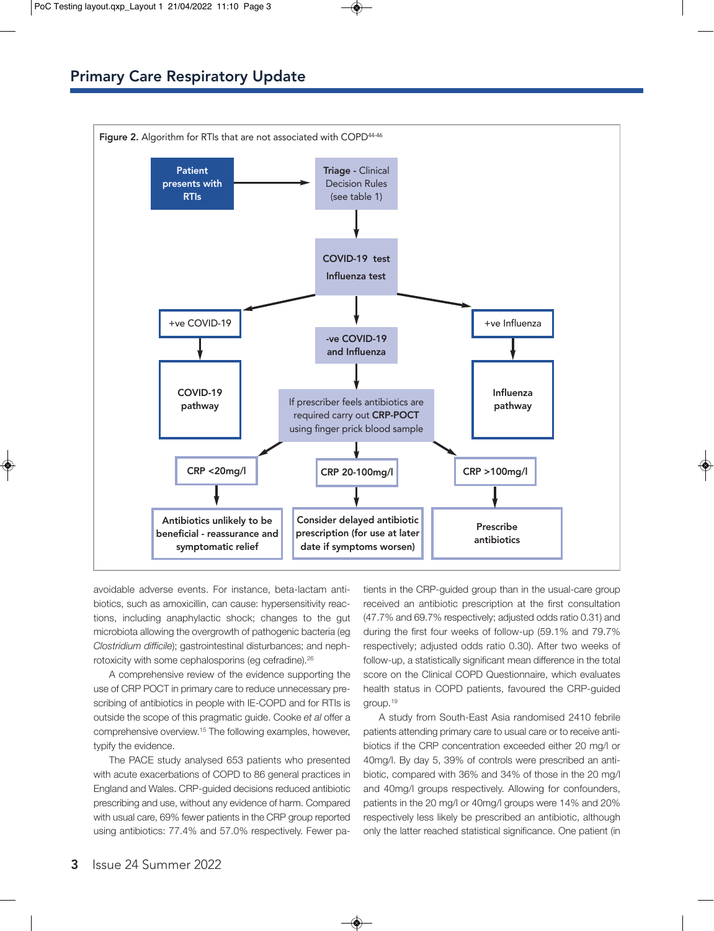

avoidable adverse events. For instance, beta-lactam antibiotics, such as amoxicillin, can cause: hypersensitivity reactions, including anaphylactic shock; changes to the gut microbiota allowing the overgrowth of pathogenic bacteria (eg *Clostridium difficile*); gastrointestinal disturbances; and nephrotoxicity with some cephalosporins (eg cefradine).26

A comprehensive review of the evidence supporting the use of CRP POCT in primary care to reduce unnecessary prescribing of antibiotics in people with IE-COPD and for RTIs is outside the scope of this pragmatic guide. Cooke *et al* offer a comprehensive overview.15 The following examples, however, typify the evidence.

The PACE study analysed 653 patients who presented with acute exacerbations of COPD to 86 general practices in England and Wales. CRP-guided decisions reduced antibiotic prescribing and use, without any evidence of harm. Compared with usual care, 69% fewer patients in the CRP group reported using antibiotics: 77.4% and 57.0% respectively. Fewer pa-

tients in the CRP-guided group than in the usual-care group received an antibiotic prescription at the first consultation (47.7% and 69.7% respectively; adjusted odds ratio 0.31) and during the first four weeks of follow-up (59.1% and 79.7% respectively; adjusted odds ratio 0.30). After two weeks of follow-up, a statistically significant mean difference in the total score on the Clinical COPD Questionnaire, which evaluates health status in COPD patients, favoured the CRP-guided group.19

A study from South-East Asia randomised 2410 febrile patients attending primary care to usual care or to receive antibiotics if the CRP concentration exceeded either 20 mg/l or 40mg/l. By day 5, 39% of controls were prescribed an antibiotic, compared with 36% and 34% of those in the 20 mg/l and 40mg/l groups respectively. Allowing for confounders, patients in the 20 mg/l or 40mg/l groups were 14% and 20% respectively less likely be prescribed an antibiotic, although only the latter reached statistical significance. One patient (in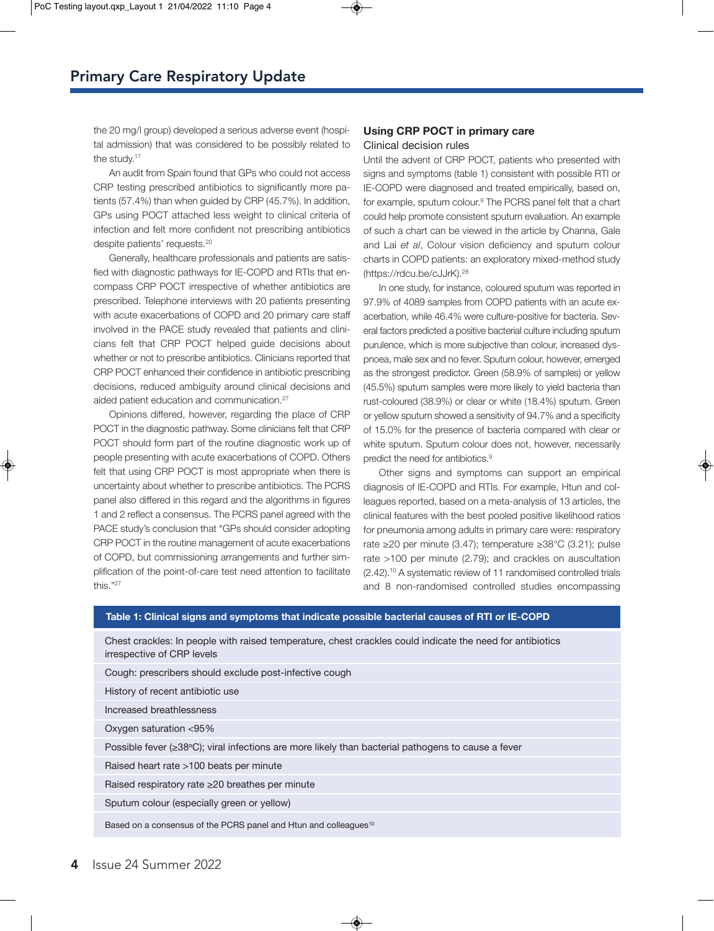the 20 mg/l group) developed a serious adverse event (hospital admission) that was considered to be possibly related to the study.<sup>17</sup>

An audit from Spain found that GPs who could not access CRP testing prescribed antibiotics to significantly more patients (57.4%) than when guided by CRP (45.7%). In addition, GPs using POCT attached less weight to clinical criteria of infection and felt more confident not prescribing antibiotics despite patients' requests.20

Generally, healthcare professionals and patients are satisfied with diagnostic pathways for IE-COPD and RTIs that encompass CRP POCT irrespective of whether antibiotics are prescribed. Telephone interviews with 20 patients presenting with acute exacerbations of COPD and 20 primary care staff involved in the PACE study revealed that patients and clinicians felt that CRP POCT helped guide decisions about whether or not to prescribe antibiotics. Clinicians reported that CRP POCT enhanced their confidence in antibiotic prescribing decisions, reduced ambiguity around clinical decisions and aided patient education and communication.<sup>27</sup>

Opinions differed, however, regarding the place of CRP POCT in the diagnostic pathway. Some clinicians felt that CRP POCT should form part of the routine diagnostic work up of people presenting with acute exacerbations of COPD. Others felt that using CRP POCT is most appropriate when there is uncertainty about whether to prescribe antibiotics. The PCRS panel also differed in this regard and the algorithms in figures 1 and 2 reflect a consensus. The PCRS panel agreed with the PACE study's conclusion that "GPs should consider adopting CRP POCT in the routine management of acute exacerbations of COPD, but commissioning arrangements and further simplification of the point-of-care test need attention to facilitate this."27

# **Using CRP POCT in primary care** Clinical decision rules

Until the advent of CRP POCT, patients who presented with signs and symptoms (table 1) consistent with possible RTI or IE-COPD were diagnosed and treated empirically, based on, for example, sputum colour.<sup>9</sup> The PCRS panel felt that a chart could help promote consistent sputum evaluation. An example of such a chart can be viewed in the article by Channa, Gale and Lai *et al*, Colour vision deficiency and sputum colour charts in COPD patients: an exploratory mixed-method study (https://rdcu.be/cJJrK).28

In one study, for instance, coloured sputum was reported in 97.9% of 4089 samples from COPD patients with an acute exacerbation, while 46.4% were culture-positive for bacteria. Several factors predicted a positive bacterial culture including sputum purulence, which is more subjective than colour, increased dyspnoea, male sex and no fever. Sputum colour, however, emerged as the strongest predictor. Green (58.9% of samples) or yellow (45.5%) sputum samples were more likely to yield bacteria than rust-coloured (38.9%) or clear or white (18.4%) sputum. Green or yellow sputum showed a sensitivity of 94.7% and a specificity of 15.0% for the presence of bacteria compared with clear or white sputum. Sputum colour does not, however, necessarily predict the need for antibiotics.9

Other signs and symptoms can support an empirical diagnosis of IE-COPD and RTIs. For example, Htun and colleagues reported, based on a meta-analysis of 13 articles, the clinical features with the best pooled positive likelihood ratios for pneumonia among adults in primary care were: respiratory rate ≥20 per minute (3.47); temperature ≥38°C (3.21); pulse rate >100 per minute (2.79); and crackles on auscultation (2.42).10 A systematic review of 11 randomised controlled trials and 8 non-randomised controlled studies encompassing

#### **Table 1: Clinical signs and symptoms that indicate possible bacterial causes of RTI or IE-COPD**

Chest crackles: In people with raised temperature, chest crackles could indicate the need for antibiotics irrespective of CRP levels

Cough: prescribers should exclude post-infective cough

History of recent antibiotic use

Increased breathlessness

Oxygen saturation <95%

Possible fever (≥38°C); viral infections are more likely than bacterial pathogens to cause a fever

Raised heart rate >100 beats per minute

Raised respiratory rate ≥20 breathes per minute

Sputum colour (especially green or yellow)

Based on a consensus of the PCRS panel and Htun and colleagues<sup>10</sup>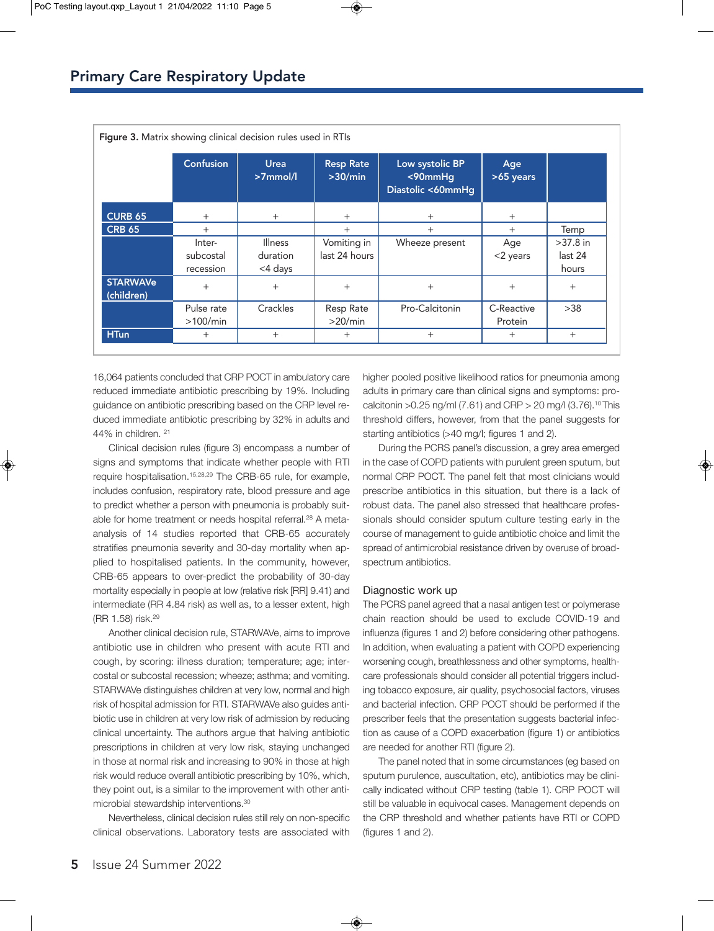|                               | <b>Confusion</b>                 | <b>Urea</b><br>$>7$ mmol/l            | <b>Resp Rate</b><br>>30/min  | Low systolic BP<br>$<$ 90mmHg<br>Diastolic <60mmHg | Age<br>>65 years      |                                |
|-------------------------------|----------------------------------|---------------------------------------|------------------------------|----------------------------------------------------|-----------------------|--------------------------------|
| <b>CURB 65</b>                | $^{+}$                           | $^{+}$                                | $^{+}$                       | $^{+}$                                             | $^{+}$                |                                |
| <b>CRB 65</b>                 | $^{+}$                           |                                       | $^{+}$                       | $^{+}$                                             | $^{+}$                | Temp                           |
|                               | Inter-<br>subcostal<br>recession | <b>Illness</b><br>duration<br><4 days | Vomiting in<br>last 24 hours | Wheeze present                                     | Age<br>$<$ 2 years    | $>37.8$ in<br>last 24<br>hours |
| <b>STARWAVe</b><br>(children) | $+$                              | $+$                                   | $+$                          | $+$                                                | $+$                   | $+$                            |
|                               | Pulse rate<br>>100/min           | Crackles                              | Resp Rate<br>>20/min         | Pro-Calcitonin                                     | C-Reactive<br>Protein | >38                            |
| <b>HTun</b>                   | $+$                              | $+$                                   | $+$                          | $+$                                                | $^{+}$                | $^{+}$                         |

16,064 patients concluded that CRP POCT in ambulatory care reduced immediate antibiotic prescribing by 19%. Including guidance on antibiotic prescribing based on the CRP level reduced immediate antibiotic prescribing by 32% in adults and 44% in children. 21

Clinical decision rules (figure 3) encompass a number of signs and symptoms that indicate whether people with RTI require hospitalisation.15,28,29 The CRB-65 rule, for example, includes confusion, respiratory rate, blood pressure and age to predict whether a person with pneumonia is probably suitable for home treatment or needs hospital referral.<sup>28</sup> A metaanalysis of 14 studies reported that CRB-65 accurately stratifies pneumonia severity and 30-day mortality when applied to hospitalised patients. In the community, however, CRB-65 appears to over-predict the probability of 30-day mortality especially in people at low (relative risk [RR] 9.41) and intermediate (RR 4.84 risk) as well as, to a lesser extent, high (RR 1.58) risk.29

Another clinical decision rule, STARWAVe, aims to improve antibiotic use in children who present with acute RTI and cough, by scoring: illness duration; temperature; age; intercostal or subcostal recession; wheeze; asthma; and vomiting. STARWAVe distinguishes children at very low, normal and high risk of hospital admission for RTI. STARWAVe also guides antibiotic use in children at very low risk of admission by reducing clinical uncertainty. The authors argue that halving antibiotic prescriptions in children at very low risk, staying unchanged in those at normal risk and increasing to 90% in those at high risk would reduce overall antibiotic prescribing by 10%, which, they point out, is a similar to the improvement with other antimicrobial stewardship interventions.30

Nevertheless, clinical decision rules still rely on non-specific clinical observations. Laboratory tests are associated with higher pooled positive likelihood ratios for pneumonia among adults in primary care than clinical signs and symptoms: procalcitonin >0.25 ng/ml (7.61) and CRP > 20 mg/l (3.76).10 This threshold differs, however, from that the panel suggests for starting antibiotics (>40 mg/l; figures 1 and 2).

During the PCRS panel's discussion, a grey area emerged in the case of COPD patients with purulent green sputum, but normal CRP POCT. The panel felt that most clinicians would prescribe antibiotics in this situation, but there is a lack of robust data. The panel also stressed that healthcare professionals should consider sputum culture testing early in the course of management to guide antibiotic choice and limit the spread of antimicrobial resistance driven by overuse of broadspectrum antibiotics.

#### Diagnostic work up

The PCRS panel agreed that a nasal antigen test or polymerase chain reaction should be used to exclude COVID-19 and influenza (figures 1 and 2) before considering other pathogens. In addition, when evaluating a patient with COPD experiencing worsening cough, breathlessness and other symptoms, healthcare professionals should consider all potential triggers including tobacco exposure, air quality, psychosocial factors, viruses and bacterial infection. CRP POCT should be performed if the prescriber feels that the presentation suggests bacterial infection as cause of a COPD exacerbation (figure 1) or antibiotics are needed for another RTI (figure 2).

The panel noted that in some circumstances (eg based on sputum purulence, auscultation, etc), antibiotics may be clinically indicated without CRP testing (table 1). CRP POCT will still be valuable in equivocal cases. Management depends on the CRP threshold and whether patients have RTI or COPD (figures 1 and 2).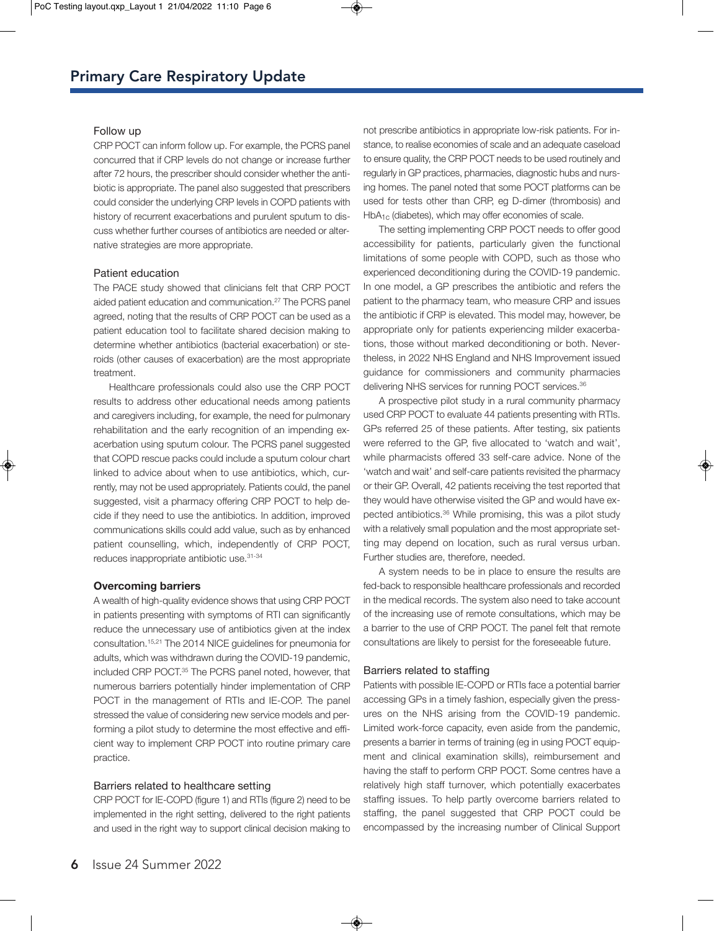#### Follow up

CRP POCT can inform follow up. For example, the PCRS panel concurred that if CRP levels do not change or increase further after 72 hours, the prescriber should consider whether the antibiotic is appropriate. The panel also suggested that prescribers could consider the underlying CRP levels in COPD patients with history of recurrent exacerbations and purulent sputum to discuss whether further courses of antibiotics are needed or alternative strategies are more appropriate.

## Patient education

The PACE study showed that clinicians felt that CRP POCT aided patient education and communication.27 The PCRS panel agreed, noting that the results of CRP POCT can be used as a patient education tool to facilitate shared decision making to determine whether antibiotics (bacterial exacerbation) or steroids (other causes of exacerbation) are the most appropriate treatment.

Healthcare professionals could also use the CRP POCT results to address other educational needs among patients and caregivers including, for example, the need for pulmonary rehabilitation and the early recognition of an impending exacerbation using sputum colour. The PCRS panel suggested that COPD rescue packs could include a sputum colour chart linked to advice about when to use antibiotics, which, currently, may not be used appropriately. Patients could, the panel suggested, visit a pharmacy offering CRP POCT to help decide if they need to use the antibiotics. In addition, improved communications skills could add value, such as by enhanced patient counselling, which, independently of CRP POCT, reduces inappropriate antibiotic use.31-34

#### **Overcoming barriers**

A wealth of high-quality evidence shows that using CRP POCT in patients presenting with symptoms of RTI can significantly reduce the unnecessary use of antibiotics given at the index consultation.15,21 The 2014 NICE guidelines for pneumonia for adults, which was withdrawn during the COVID-19 pandemic, included CRP POCT.<sup>35</sup> The PCRS panel noted, however, that numerous barriers potentially hinder implementation of CRP POCT in the management of RTIs and IE-COP. The panel stressed the value of considering new service models and performing a pilot study to determine the most effective and efficient way to implement CRP POCT into routine primary care practice.

#### Barriers related to healthcare setting

CRP POCT for IE-COPD (figure 1) and RTIs (figure 2) need to be implemented in the right setting, delivered to the right patients and used in the right way to support clinical decision making to

not prescribe antibiotics in appropriate low-risk patients. For instance, to realise economies of scale and an adequate caseload to ensure quality, the CRP POCT needs to be used routinely and regularly in GP practices, pharmacies, diagnostic hubs and nursing homes. The panel noted that some POCT platforms can be used for tests other than CRP, eg D-dimer (thrombosis) and HbA<sub>1c</sub> (diabetes), which may offer economies of scale.

The setting implementing CRP POCT needs to offer good accessibility for patients, particularly given the functional limitations of some people with COPD, such as those who experienced deconditioning during the COVID-19 pandemic. In one model, a GP prescribes the antibiotic and refers the patient to the pharmacy team, who measure CRP and issues the antibiotic if CRP is elevated. This model may, however, be appropriate only for patients experiencing milder exacerbations, those without marked deconditioning or both. Nevertheless, in 2022 NHS England and NHS Improvement issued guidance for commissioners and community pharmacies delivering NHS services for running POCT services.<sup>36</sup>

A prospective pilot study in a rural community pharmacy used CRP POCT to evaluate 44 patients presenting with RTIs. GPs referred 25 of these patients. After testing, six patients were referred to the GP, five allocated to 'watch and wait', while pharmacists offered 33 self-care advice. None of the 'watch and wait' and self-care patients revisited the pharmacy or their GP. Overall, 42 patients receiving the test reported that they would have otherwise visited the GP and would have expected antibiotics.<sup>36</sup> While promising, this was a pilot study with a relatively small population and the most appropriate setting may depend on location, such as rural versus urban. Further studies are, therefore, needed.

A system needs to be in place to ensure the results are fed-back to responsible healthcare professionals and recorded in the medical records. The system also need to take account of the increasing use of remote consultations, which may be a barrier to the use of CRP POCT. The panel felt that remote consultations are likely to persist for the foreseeable future.

#### Barriers related to staffing

Patients with possible IE-COPD or RTIs face a potential barrier accessing GPs in a timely fashion, especially given the pressures on the NHS arising from the COVID-19 pandemic. Limited work-force capacity, even aside from the pandemic, presents a barrier in terms of training (eg in using POCT equipment and clinical examination skills), reimbursement and having the staff to perform CRP POCT. Some centres have a relatively high staff turnover, which potentially exacerbates staffing issues. To help partly overcome barriers related to staffing, the panel suggested that CRP POCT could be encompassed by the increasing number of Clinical Support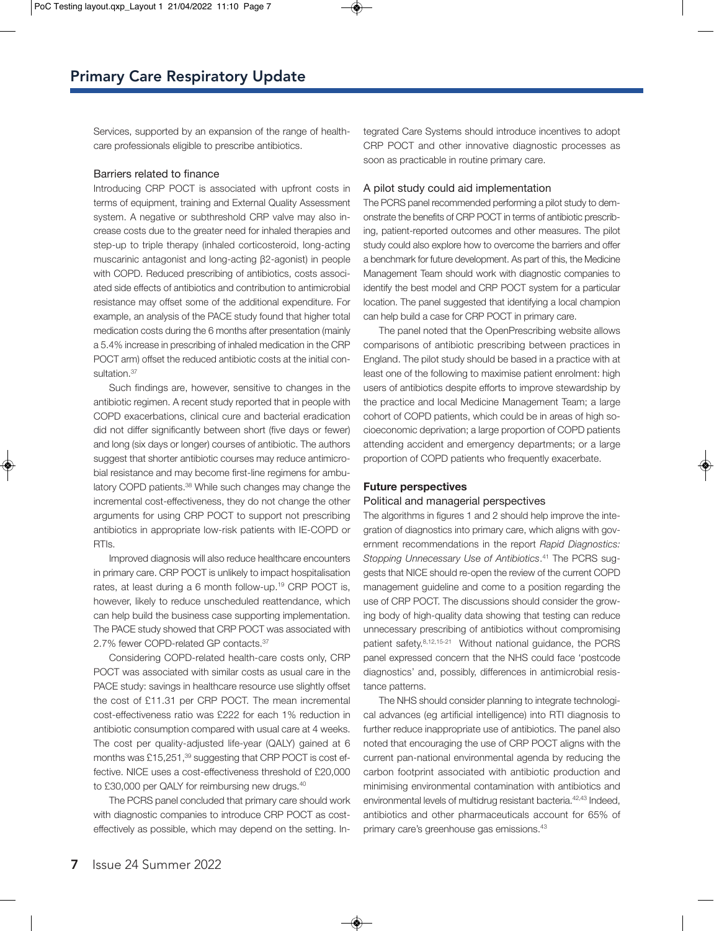Services, supported by an expansion of the range of healthcare professionals eligible to prescribe antibiotics.

## Barriers related to finance

Introducing CRP POCT is associated with upfront costs in terms of equipment, training and External Quality Assessment system. A negative or subthreshold CRP valve may also increase costs due to the greater need for inhaled therapies and step-up to triple therapy (inhaled corticosteroid, long-acting muscarinic antagonist and long-acting β2-agonist) in people with COPD. Reduced prescribing of antibiotics, costs associated side effects of antibiotics and contribution to antimicrobial resistance may offset some of the additional expenditure. For example, an analysis of the PACE study found that higher total medication costs during the 6 months after presentation (mainly a 5.4% increase in prescribing of inhaled medication in the CRP POCT arm) offset the reduced antibiotic costs at the initial consultation.<sup>37</sup>

Such findings are, however, sensitive to changes in the antibiotic regimen. A recent study reported that in people with COPD exacerbations, clinical cure and bacterial eradication did not differ significantly between short (five days or fewer) and long (six days or longer) courses of antibiotic. The authors suggest that shorter antibiotic courses may reduce antimicrobial resistance and may become first-line regimens for ambulatory COPD patients.38 While such changes may change the incremental cost-effectiveness, they do not change the other arguments for using CRP POCT to support not prescribing antibiotics in appropriate low-risk patients with IE-COPD or RTIs.

Improved diagnosis will also reduce healthcare encounters in primary care. CRP POCT is unlikely to impact hospitalisation rates, at least during a 6 month follow-up.19 CRP POCT is, however, likely to reduce unscheduled reattendance, which can help build the business case supporting implementation. The PACE study showed that CRP POCT was associated with 2.7% fewer COPD-related GP contacts.37

Considering COPD-related health-care costs only, CRP POCT was associated with similar costs as usual care in the PACE study: savings in healthcare resource use slightly offset the cost of £11.31 per CRP POCT. The mean incremental cost-effectiveness ratio was £222 for each 1% reduction in antibiotic consumption compared with usual care at 4 weeks. The cost per quality-adjusted life-year (QALY) gained at 6 months was £15,251,<sup>39</sup> suggesting that CRP POCT is cost effective. NICE uses a cost-effectiveness threshold of £20,000 to £30,000 per QALY for reimbursing new drugs.40

The PCRS panel concluded that primary care should work with diagnostic companies to introduce CRP POCT as costeffectively as possible, which may depend on the setting. Integrated Care Systems should introduce incentives to adopt CRP POCT and other innovative diagnostic processes as soon as practicable in routine primary care.

#### A pilot study could aid implementation

The PCRS panel recommended performing a pilot study to demonstrate the benefits of CRP POCT in terms of antibiotic prescribing, patient-reported outcomes and other measures. The pilot study could also explore how to overcome the barriers and offer a benchmark for future development. As part of this, the Medicine Management Team should work with diagnostic companies to identify the best model and CRP POCT system for a particular location. The panel suggested that identifying a local champion can help build a case for CRP POCT in primary care.

The panel noted that the OpenPrescribing website allows comparisons of antibiotic prescribing between practices in England. The pilot study should be based in a practice with at least one of the following to maximise patient enrolment: high users of antibiotics despite efforts to improve stewardship by the practice and local Medicine Management Team; a large cohort of COPD patients, which could be in areas of high socioeconomic deprivation; a large proportion of COPD patients attending accident and emergency departments; or a large proportion of COPD patients who frequently exacerbate.

#### **Future perspectives**

#### Political and managerial perspectives

The algorithms in figures 1 and 2 should help improve the integration of diagnostics into primary care, which aligns with government recommendations in the report *Rapid Diagnostics: Stopping Unnecessary Use of Antibiotics*. 41 The PCRS suggests that NICE should re-open the review of the current COPD management guideline and come to a position regarding the use of CRP POCT. The discussions should consider the growing body of high-quality data showing that testing can reduce unnecessary prescribing of antibiotics without compromising patient safety.8,12,15-21 Without national guidance, the PCRS panel expressed concern that the NHS could face 'postcode diagnostics' and, possibly, differences in antimicrobial resistance patterns.

The NHS should consider planning to integrate technological advances (eg artificial intelligence) into RTI diagnosis to further reduce inappropriate use of antibiotics. The panel also noted that encouraging the use of CRP POCT aligns with the current pan-national environmental agenda by reducing the carbon footprint associated with antibiotic production and minimising environmental contamination with antibiotics and environmental levels of multidrug resistant bacteria.<sup>42,43</sup> Indeed, antibiotics and other pharmaceuticals account for 65% of primary care's greenhouse gas emissions.43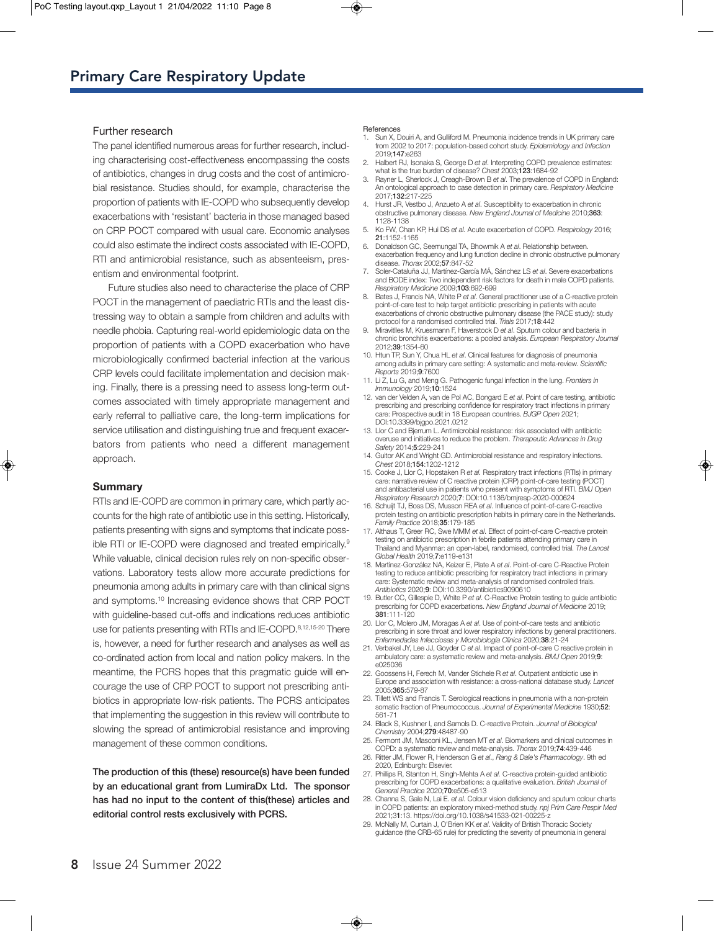### Further research

The panel identified numerous areas for further research, including characterising cost-effectiveness encompassing the costs of antibiotics, changes in drug costs and the cost of antimicrobial resistance. Studies should, for example, characterise the proportion of patients with IE-COPD who subsequently develop exacerbations with 'resistant' bacteria in those managed based on CRP POCT compared with usual care. Economic analyses could also estimate the indirect costs associated with IE-COPD, RTI and antimicrobial resistance, such as absenteeism, presentism and environmental footprint.

Future studies also need to characterise the place of CRP POCT in the management of paediatric RTIs and the least distressing way to obtain a sample from children and adults with needle phobia. Capturing real-world epidemiologic data on the proportion of patients with a COPD exacerbation who have microbiologically confirmed bacterial infection at the various CRP levels could facilitate implementation and decision making. Finally, there is a pressing need to assess long-term outcomes associated with timely appropriate management and early referral to palliative care, the long-term implications for service utilisation and distinguishing true and frequent exacerbators from patients who need a different management approach.

#### **Summary**

RTIs and IE-COPD are common in primary care, which partly accounts for the high rate of antibiotic use in this setting. Historically, patients presenting with signs and symptoms that indicate possible RTI or IE-COPD were diagnosed and treated empirically.<sup>9</sup> While valuable, clinical decision rules rely on non-specific observations. Laboratory tests allow more accurate predictions for pneumonia among adults in primary care with than clinical signs and symptoms.10 Increasing evidence shows that CRP POCT with guideline-based cut-offs and indications reduces antibiotic use for patients presenting with RTIs and IE-COPD.8,12,15-20 There is, however, a need for further research and analyses as well as co-ordinated action from local and nation policy makers. In the meantime, the PCRS hopes that this pragmatic guide will encourage the use of CRP POCT to support not prescribing antibiotics in appropriate low-risk patients. The PCRS anticipates that implementing the suggestion in this review will contribute to slowing the spread of antimicrobial resistance and improving management of these common conditions.

**The production of this (these) resource(s) have been funded by an educational grant from LumiraDx Ltd. The sponsor has had no input to the content of this(these) articles and editorial control rests exclusively with PCRS.**

#### **References**

- Sun X, Douiri A, and Gulliford M. Pneumonia incidence trends in UK primary care from 2002 to 2017: population-based cohort study. *Epidemiology and Infection* 2019;**147**:e263
- 2. Halbert RJ, Isonaka S, George D *et al*. Interpreting COPD prevalence estimates: what is the true burden of disease? *Chest* 2003;**123**:1684-92
- 3. Rayner L, Sherlock J, Creagh-Brown B *et al*. The prevalence of COPD in England: An ontological approach to case detection in primary care. *Respiratory Medicine* 2017;**132**:217-225
- 4. Hurst JR, Vestbo J, Anzueto A *et al*. Susceptibility to exacerbation in chronic obstructive pulmonary disease. *New England Journal of Medicine* 2010;**363**: 1128-1138
- 5. Ko FW, Chan KP, Hui DS *et al.* Acute exacerbation of COPD. *Respirology* 2016; **21**:1152-1165
- 6. Donaldson GC, Seemungal TA, Bhowmik A *et al*. Relationship between. exacerbation frequency and lung function decline in chronic obstructive pulmonary disease. *Thorax* 2002;**57**:847-52
- 7. Soler-Cataluña JJ, Martínez-García MÁ, Sánchez LS *et al*. Severe exacerbations and BODE index: Two independent risk factors for death in male COPD patients. *Respiratory Medicine* 2009;**103**:692-699
- 8. Bates J, Francis NA, White P *et al*. General practitioner use of a C-reactive protein point-of-care test to help target antibiotic prescribing in patients with acute exacerbations of chronic obstructive pulmonary disease (the PACE study): study protocol for a randomised controlled trial. *Trials* 2017;**18**:442
- 9. Miravitlles M, Kruesmann F, Haverstock D *et al*. Sputum colour and bacteria in chronic bronchitis exacerbations: a pooled analysis. *European Respiratory Journal* 2012;**39**:1354-60
- 10. Htun TP, Sun Y, Chua HL *et al*. Clinical features for diagnosis of pneumonia among adults in primary care setting: A systematic and meta-review. *Scientific Reports* 2019;**9**:7600
- 11. Li Z, Lu G, and Meng G. Pathogenic fungal infection in the lung. *Frontiers in Immunology* 2019;**10**:1524
- 12. van der Velden A, van de Pol AC, Bongard E *et al*. Point of care testing, antibiotic prescribing and prescribing confidence for respiratory tract infections in primary care: Prospective audit in 18 European countries. *BJGP Open* 2021; DOI:10.3399/bjgpo.2021.0212
- 13. Llor C and Bjerrum L. Antimicrobial resistance: risk associated with antibiotic overuse and initiatives to reduce the problem. *Therapeutic Advances in Drug Safety* 2014;**5**:229-241
- 14. Guitor AK and Wright GD. Antimicrobial resistance and respiratory infections. *Chest* 2018;**154**:1202-1212
- 15. Cooke J, Llor C, Hopstaken R *et al.* Respiratory tract infections (RTIs) in primary care: narrative review of C reactive protein (CRP) point-of-care testing (POCT) and antibacterial use in patients who present with symptoms of RTI. *BMJ Open Respiratory Research* 2020;**7**: DOI:10.1136/bmjresp-2020-000624
- 16. Schuijt TJ, Boss DS, Musson REA *et al*. Influence of point-of-care C-reactive protein testing on antibiotic prescription habits in primary care in the Netherlands. *Family Practice* 2018;**35**:179-185
- 17. Althaus T, Greer RC, Swe MMM *et al*. Effect of point-of-care C-reactive protein testing on antibiotic prescription in febrile patients attending primary care in Thailand and Myanmar: an open-label, randomised, controlled trial. *The Lancet Global Health* 2019;**7**:e119-e131
- 18. Martínez-González NA, Keizer E, Plate A *et al*. Point-of-care C-Reactive Protein testing to reduce antibiotic prescribing for respiratory tract infections in primary care: Systematic review and meta-analysis of randomised controlled trials. *Antibiotics* 2020;**9**: DOI:10.3390/antibiotics9090610
- 19. Butler CC, Gillespie D, White P *et al*. C-Reactive Protein testing to guide antibiotic prescribing for COPD exacerbations. *New England Journal of Medicine* 2019; **381**:111-120
- 20. Llor C, Molero JM, Moragas A *et al*. Use of point-of-care tests and antibiotic prescribing in sore throat and lower respiratory infections by general practitioners. *Enfermedades Infecciosas y Microbiología Clínica* 2020;**38**:21-24
- 21. Verbakel JY, Lee JJ, Goyder C *et al*. Impact of point-of-care C reactive protein in ambulatory care: a systematic review and meta-analysis. *BMJ Open* 2019;**9**: e025036
- 22. Goossens H, Ferech M, Vander Stichele R *et al*. Outpatient antibiotic use in Europe and association with resistance: a cross-national database study. *Lancet* 2005;**365**:579-87
- 23. Tillett WS and Francis T. Serological reactions in pneumonia with a non-protein somatic fraction of Pneumococcus. *Journal of Experimental Medicine* 1930;**52**:  $561 - 7$
- 24. Black S, Kushner I, and Samols D. C-reactive Protein. *Journal of Biological Chemistry* 2004;**279**:48487-90
- 25. Fermont JM, Masconi KL, Jensen MT *et al*. Biomarkers and clinical outcomes in COPD: a systematic review and meta-analysis. *Thorax* 2019;**74**:439-446
- 26. Ritter JM, Flower R, Henderson G *et al*., *Rang & Dale's Pharmacology*. 9th ed 2020, Edinburgh: Elsevier.
- 27. Phillips R, Stanton H, Singh-Mehta A *et al.* C-reactive protein-guided antibiotic prescribing for COPD exacerbations: a qualitative evaluation. *British Journal of General Practice* 2020;**70**:e505-e513
- 28. Channa S, Gale N, Lai E. *et al*. Colour vision deficiency and sputum colour charts in COPD patients: an exploratory mixed-method study. *npj Prim Care Respir Med* 2021;3**1**:13. https://doi.org/10.1038/s41533-021-00225-z
- 29. McNally M, Curtain J, O'Brien KK *et al*. Validity of British Thoracic Society guidance (the CRB-65 rule) for predicting the severity of pneumonia in general